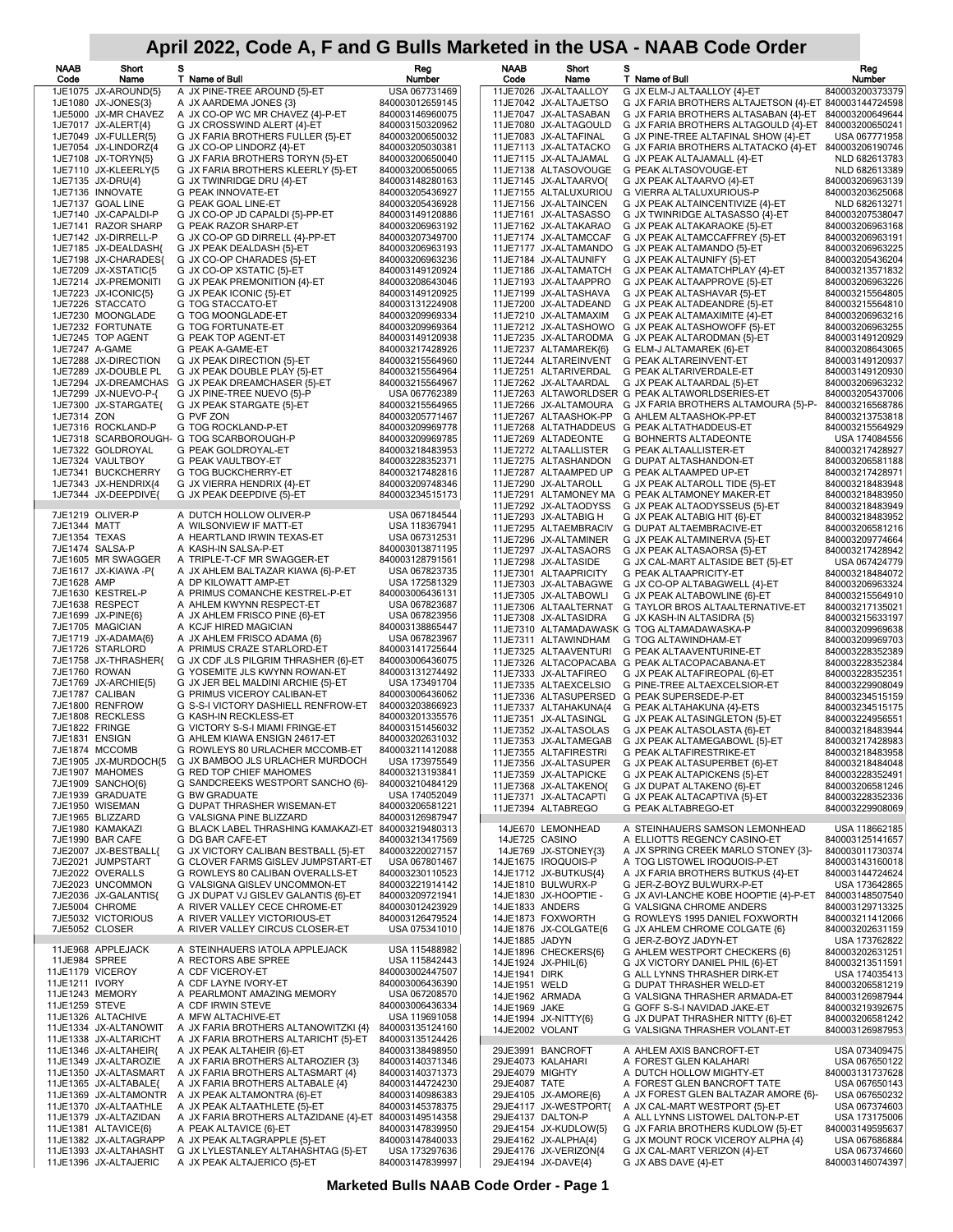| NAAB<br>Code     | Short<br>Name                                  | s<br>T Name of Bull                                                               | Reg<br>Number                      | <b>NAAB</b><br>Code              | Short<br>Name                                  | s<br>T Name of Bull                                                             | Reg<br>Number                      |
|------------------|------------------------------------------------|-----------------------------------------------------------------------------------|------------------------------------|----------------------------------|------------------------------------------------|---------------------------------------------------------------------------------|------------------------------------|
|                  | 1JE1075 JX-AROUND{5}                           | A JX PINE-TREE AROUND {5}-ET                                                      | USA 067731469                      |                                  | 11JE7026 JX-ALTAALLOY                          | G JX ELM-J ALTAALLOY {4}-ET                                                     | 840003200373379                    |
|                  | 1JE1080 JX-JONES{3}<br>1JE5000 JX-MR CHAVEZ    | A JX AARDEMA JONES {3}                                                            | 840003012659145                    |                                  | 11JE7042 JX-ALTAJETSO                          | G JX FARIA BROTHERS ALTAJETSON {4}-ET 840003144724598                           | 840003200649644                    |
|                  | 1JE7017 JX-ALERT{4}                            | A JX CO-OP WC MR CHAVEZ {4}-P-ET<br>G JX CROSSWIND ALERT {4}-ET                   | 840003146960075<br>840003150320962 |                                  | 11JE7047 JX-ALTASABAN<br>11JE7080 JX-ALTAGOULD | G JX FARIA BROTHERS ALTASABAN {4}-ET<br>G JX FARIA BROTHERS ALTAGOULD {4}-ET    | 840003200650241                    |
|                  | 1JE7049 JX-FULLER{5}                           | G JX FARIA BROTHERS FULLER {5}-ET                                                 | 840003200650032                    |                                  | 11JE7083 JX-ALTAFINAL                          | G JX PINE-TREE ALTAFINAL SHOW {4}-ET                                            | USA 067771958                      |
|                  | 1JE7054 JX-LINDORZ{4                           | G JX CO-OP LINDORZ {4}-ET                                                         | 840003205030381                    |                                  | 11JE7113 JX-ALTATACKO                          | G JX FARIA BROTHERS ALTATACKO {4}-ET 840003206190746                            |                                    |
|                  | 1JE7108 JX-TORYN{5}                            | G JX FARIA BROTHERS TORYN {5}-ET                                                  | 840003200650040                    |                                  | 11JE7115 JX-ALTAJAMAL                          | G JX PEAK ALTAJAMALL {4}-ET                                                     | NLD 682613783                      |
|                  | 1JE7110 JX-KLEERLY{5<br>1JE7135 JX-DRU{4}      | G JX FARIA BROTHERS KLEERLY {5}-ET<br>G JX TWINRIDGE DRU {4}-ET                   | 840003200650065<br>840003148280163 |                                  | 11JE7138 ALTASOVOUGE<br>11JE7145 JX-ALTAARVO{  | G PEAK ALTASOVOUGE-ET<br>G JX PEAK ALTAARVO {4}-ET                              | NLD 682613389<br>840003206963139   |
|                  | 1JE7136 INNOVATE                               | G PEAK INNOVATE-ET                                                                | 840003205436927                    |                                  | 11JE7155 ALTALUXURIOU                          | G VIERRA ALTALUXURIOUS-P                                                        | 840003203625068                    |
|                  | 1JE7137 GOAL LINE                              | G PEAK GOAL LINE-ET                                                               | 840003205436928                    |                                  | 11JE7156 JX-ALTAINCEN                          | G JX PEAK ALTAINCENTIVIZE {4}-ET                                                | NLD 682613271                      |
|                  | 1JE7140 JX-CAPALDI-P<br>1JE7141 RAZOR SHARP    | G JX CO-OP JD CAPALDI {5}-PP-ET<br>G PEAK RAZOR SHARP-ET                          | 840003149120886<br>840003206963192 |                                  | 11JE7161 JX-ALTASASSO<br>11JE7162 JX-ALTAKARAO | G JX TWINRIDGE ALTASASSO {4}-ET<br>G JX PEAK ALTAKARAOKE {5}-ET                 | 840003207538047<br>840003206963168 |
|                  | 1JE7142 JX-DIRRELL-P                           | G JX CO-OP GD DIRRELL {4}-PP-ET                                                   | 840003207349700                    |                                  | 11JE7174 JX-ALTAMCCAF                          | G JX PEAK ALTAMCCAFFREY {5}-ET                                                  | 840003206963191                    |
|                  | 1JE7185 JX-DEALDASH{                           | G JX PEAK DEALDASH {5}-ET                                                         | 840003206963193                    |                                  | 11JE7177 JX-ALTAMANDO                          | G JX PEAK ALTAMANDO {5}-ET                                                      | 840003206963225                    |
|                  | 1JE7198 JX-CHARADES{                           | G JX CO-OP CHARADES {5}-ET                                                        | 840003206963236                    |                                  | 11JE7184 JX-ALTAUNIFY                          | G JX PEAK ALTAUNIFY {5}-ET                                                      | 840003205436204                    |
|                  | 1JE7209 JX-XSTATIC(5<br>1JE7214 JX-PREMONITI   | G JX CO-OP XSTATIC {5}-ET<br>G JX PEAK PREMONITION {4}-ET                         | 840003149120924<br>840003208643046 |                                  | 11JE7186 JX-ALTAMATCH<br>11JE7193 JX-ALTAAPPRO | G JX PEAK ALTAMATCHPLAY {4}-ET<br>G JX PEAK ALTAAPPROVE {5}-ET                  | 840003213571832<br>840003206963226 |
|                  | 1JE7223 JX-ICONIC{5}                           | G JX PEAK ICONIC {5}-ET                                                           | 840003149120925                    |                                  | 11JE7199 JX-ALTASHAVA                          | G JX PEAK ALTASHAVAR {5}-ET                                                     | 840003215564805                    |
|                  | 1JE7226 STACCATO                               | G TOG STACCATO-ET                                                                 | 840003131224908                    |                                  | 11JE7200 JX-ALTADEAND                          | G JX PEAK ALTADEANDRE {5}-ET                                                    | 840003215564810                    |
|                  | 1JE7230 MOONGLADE                              | G TOG MOONGLADE-ET                                                                | 840003209969334                    |                                  | 11JE7210 JX-ALTAMAXIM                          | G JX PEAK ALTAMAXIMITE {4}-ET                                                   | 840003206963216                    |
|                  | 1JE7232 FORTUNATE<br>1JE7245 TOP AGENT         | G TOG FORTUNATE-ET<br>G PEAK TOP AGENT-ET                                         | 840003209969364<br>840003149120938 |                                  | 11JE7212 JX-ALTASHOWO<br>11JE7235 JX-ALTARODMA | G JX PEAK ALTASHOWOFF {5}-ET<br>G JX PEAK ALTARODMAN {5}-ET                     | 840003206963255<br>840003149120929 |
| 1JE7247 A-GAME   |                                                | G PEAK A-GAME-ET                                                                  | 840003217428926                    |                                  | 11JE7237 ALTAMAREK{6}                          | G ELM-J ALTAMAREK {6}-ET                                                        | 840003208643065                    |
|                  | 1JE7288 JX-DIRECTION                           | G JX PEAK DIRECTION {5}-ET                                                        | 840003215564960                    |                                  | 11JE7244 ALTAREINVENT                          | G PEAK ALTAREINVENT-ET                                                          | 840003149120937                    |
|                  | 1JE7289 JX-DOUBLE PL                           | G JX PEAK DOUBLE PLAY {5}-ET                                                      | 840003215564964                    |                                  | 11JE7251 ALTARIVERDAL                          | G PEAK ALTARIVERDALE-ET                                                         | 840003149120930                    |
|                  | 1JE7299 JX-NUEVO-P-{                           | 1JE7294 JX-DREAMCHAS G JX PEAK DREAMCHASER {5}-ET<br>G JX PINE-TREE NUEVO {5}-P   | 840003215564967<br>USA 067762389   |                                  | 11JE7262 JX-ALTAARDAL                          | G JX PEAK ALTAARDAL {5}-ET<br>11JE7263 ALTAWORLDSER G PEAK ALTAWORLDSERIES-ET   | 840003206963232<br>840003205437006 |
|                  | 1JE7300 JX-STARGATE{                           | G JX PEAK STARGATE {5}-ET                                                         | 840003215564965                    |                                  | 11JE7266 JX-ALTAMOURA                          | G JX FARIA BROTHERS ALTAMOURA {5}-P-                                            | 840003216568786                    |
| 1JE7314 ZON      |                                                | G PVF ZON                                                                         | 840003205771467                    |                                  | 11JE7267 ALTAASHOK-PP                          | G AHLEM ALTAASHOK-PP-ET                                                         | 840003213753818                    |
|                  | 1JE7316 ROCKLAND-P                             | G TOG ROCKLAND-P-ET                                                               | 840003209969778                    |                                  |                                                | 11JE7268 ALTATHADDEUS G PEAK ALTATHADDEUS-ET                                    | 840003215564929                    |
|                  |                                                | 1JE7318 SCARBOROUGH- G TOG SCARBOROUGH-P<br>G PEAK GOLDROYAL-ET                   | 840003209969785                    |                                  | 11JE7269 ALTADEONTE                            | G BOHNERTS ALTADEONTE                                                           | USA 174084556                      |
|                  | 1JE7322 GOLDROYAL<br>1JE7324 VAULTBOY          | G PEAK VAULTBOY-ET                                                                | 840003218483953<br>840003228352371 |                                  | 11JE7272 ALTAALLISTER<br>11JE7275 ALTASHANDON  | G PEAK ALTAALLISTER-ET<br>G DUPAT ALTASHANDON-ET                                | 840003217428927<br>840003206581188 |
|                  | 1JE7341 BUCKCHERRY                             | G TOG BUCKCHERRY-ET                                                               | 840003217482816                    |                                  | 11JE7287 ALTAAMPED UP                          | G PEAK ALTAAMPED UP-ET                                                          | 840003217428971                    |
|                  | 1JE7343 JX-HENDRIX{4                           | G JX VIERRA HENDRIX {4}-ET                                                        | 840003209748346                    |                                  | 11JE7290 JX-ALTAROLL                           | G JX PEAK ALTAROLL TIDE {5}-ET                                                  | 840003218483948                    |
|                  | 1JE7344 JX-DEEPDIVE{                           | G JX PEAK DEEPDIVE {5}-ET                                                         | 840003234515173                    |                                  | 11JE7292 JX-ALTAODYSS                          | 11JE7291 ALTAMONEY MA G PEAK ALTAMONEY MAKER-ET                                 | 840003218483950<br>840003218483949 |
|                  | 7JE1219 OLIVER-P                               | A DUTCH HOLLOW OLIVER-P                                                           | USA 067184544                      |                                  | 11JE7293 JX-ALTABIG H                          | G JX PEAK ALTAODYSSEUS {5}-ET<br>G JX PEAK ALTABIG HIT {6}-ET                   | 840003218483952                    |
| 7JE1344 MATT     |                                                | A WILSONVIEW IF MATT-ET                                                           | USA 118367941                      |                                  | 11JE7295 ALTAEMBRACIV                          | G DUPAT ALTAEMBRACIVE-ET                                                        | 840003206581216                    |
| 7JE1354 TEXAS    |                                                | A HEARTLAND IRWIN TEXAS-ET                                                        | USA 067312531                      |                                  | 11JE7296 JX-ALTAMINER                          | G JX PEAK ALTAMINERVA {5}-ET                                                    | 840003209774664                    |
|                  | 7JE1474 SALSA-P<br>7JE1605 MR SWAGGER          | A KASH-IN SALSA-P-ET<br>A TRIPLE-T-CF MR SWAGGER-ET                               | 840003013871195<br>840003128791561 |                                  | 11JE7297 JX-ALTASAORS                          | G JX PEAK ALTASAORSA {5}-ET                                                     | 840003217428942                    |
|                  | 7JE1617 JX-KIAWA-P{                            | A JX AHLEM BALTAZAR KIAWA {6}-P-ET                                                | USA 067823735                      |                                  | 11JE7298 JX-ALTASIDE<br>11JE7301 ALTAAPRICITY  | G JX CAL-MART ALTASIDE BET {5}-ET<br>G PEAK ALTAAPRICITY-ET                     | USA 067424779<br>840003218484072   |
| 7JE1628 AMP      |                                                | A DP KILOWATT AMP-ET                                                              | USA 172581329                      |                                  | 11JE7303 JX-ALTABAGWE                          | G JX CO-OP ALTABAGWELL {4}-ET                                                   | 840003206963324                    |
|                  | 7JE1630 KESTREL-P                              | A PRIMUS COMANCHE KESTREL-P-ET                                                    | 840003006436131                    |                                  | 11JE7305 JX-ALTABOWLI                          | G JX PEAK ALTABOWLINE {6}-ET                                                    | 840003215564910                    |
|                  | 7JE1638 RESPECT<br>7JE1699 JX-PINE{6}          | A AHLEM KWYNN RESPECT-ET<br>A JX AHLEM FRISCO PINE {6}-ET                         | USA 067823687<br>USA 067823956     |                                  | 11JE7306 ALTAALTERNAT<br>11JE7308 JX-ALTASIDRA | G TAYLOR BROS ALTAALTERNATIVE-ET<br>G JX KASH-IN ALTASIDRA {5}                  | 840003217135021<br>840003215633197 |
|                  | 7JE1705 MAGICIAN                               | A KCJF HIRED MAGICIAN                                                             | 840003138865447                    |                                  |                                                | 11JE7310 ALTAMADAWASK G TOG ALTAMADAWASKA-P                                     | 840003209969638                    |
|                  | 7JE1719 JX-ADAMA{6}                            | A JX AHLEM FRISCO ADAMA {6}                                                       | USA 067823967                      |                                  | 11JE7311 ALTAWINDHAM                           | G TOG ALTAWINDHAM-ET                                                            | 840003209969703                    |
|                  | 7JE1726 STARLORD<br>7JE1758 JX-THRASHER{       | A PRIMUS CRAZE STARLORD-ET<br>G JX CDF JLS PILGRIM THRASHER {6}-ET                | 840003141725644<br>840003006436075 |                                  | 11JE7325 ALTAAVENTURI                          | G PEAK ALTAAVENTURINE-ET                                                        | 840003228352389                    |
| 7JE1760 ROWAN    |                                                | G YOSEMITE JLS KWYNN ROWAN-ET                                                     | 840003131274492                    |                                  | 11JE7333 JX-ALTAFIREO                          | 11JE7326 ALTACOPACABA G PEAK ALTACOPACABANA-ET<br>G JX PEAK ALTAFIREOPAL {6}-ET | 840003228352384<br>840003228352351 |
|                  | 7JE1769 JX-ARCHIE{5}                           | G JX JER BEL MALDINI ARCHIE {5}-ET                                                | USA 173491704                      |                                  | 11JE7335 ALTAEXCELSIO                          | G PINE-TREE ALTAEXCELSIOR-ET                                                    | 840003229908049                    |
|                  | 7JE1787 CALIBAN<br>7JE1800 RENFROW             | G PRIMUS VICEROY CALIBAN-ET<br>G S-S-I VICTORY DASHIELL RENFROW-ET                | 840003006436062<br>840003203866923 |                                  | 11JE7336 ALTASUPERSED<br>11JE7337 ALTAHAKUNA{4 | G PEAK SUPERSEDE-P-ET                                                           | 840003234515159                    |
|                  | 7JE1808 RECKLESS                               | G KASH-IN RECKLESS-ET                                                             | 840003201335576                    |                                  | 11JE7351 JX-ALTASINGL                          | G PEAK ALTAHAKUNA {4}-ETS<br>G JX PEAK ALTASINGLETON {5}-ET                     | 840003234515175<br>840003224956551 |
| 7JE1822 FRINGE   |                                                | <b>G VICTORY S-S-I MIAMI FRINGE-ET</b>                                            | 840003151456032                    |                                  | 11JE7352 JX-ALTASOLAS                          | G JX PEAK ALTASOLASTA {6}-ET                                                    | 840003218483944                    |
| 7JE1831 ENSIGN   |                                                | G AHLEM KIAWA ENSIGN 24617-ET                                                     | 840003202631032                    |                                  | 11JE7353 JX-ALTAMEGAB                          | G JX PEAK ALTAMEGABOWL {5}-ET                                                   | 840003217428983                    |
|                  | 7JE1874 MCCOMB<br>7JE1905 JX-MURDOCH{5         | G ROWLEYS 80 URLACHER MCCOMB-ET<br>G JX BAMBOO JLS URLACHER MURDOCH               | 840003211412088<br>USA 173975549   |                                  | 11JE7355 ALTAFIRESTRI                          | G PEAK ALTAFIRESTRIKE-ET                                                        | 840003218483958                    |
|                  | 7JE1907 MAHOMES                                | <b>G RED TOP CHIEF MAHOMES</b>                                                    | 840003213193841                    |                                  | 11JE7356 JX-ALTASUPER<br>11JE7359 JX-ALTAPICKE | G JX PEAK ALTASUPERBET {6}-ET<br>G JX PEAK ALTAPICKENS {5}-ET                   | 840003218484048<br>840003228352491 |
|                  | 7JE1909 SANCHO(6)                              | G SANDCREEKS WESTPORT SANCHO {6}-                                                 | 840003210484129                    |                                  | 11JE7368 JX-ALTAKENO{                          | G JX DUPAT ALTAKENO {6}-ET                                                      | 840003206581246                    |
|                  | 7JE1939 GRADUATE                               | <b>G BW GRADUATE</b>                                                              | USA 174052049<br>840003206581221   |                                  | 11JE7371 JX-ALTACAPTI                          | G JX PEAK ALTACAPTIVA {5}-ET                                                    | 840003228352336                    |
|                  | 7JE1950 WISEMAN<br>7JE1965 BLIZZARD            | G DUPAT THRASHER WISEMAN-ET<br>G VALSIGNA PINE BLIZZARD                           | 840003126987947                    |                                  | 11JE7394 ALTABREGO                             | G PEAK ALTABREGO-ET                                                             | 840003229908069                    |
|                  | 7JE1980 KAMAKAZI                               | G BLACK LABEL THRASHING KAMAKAZI-ET 840003219480313                               |                                    |                                  | 14JE670 LEMONHEAD                              | A STEINHAUERS SAMSON LEMONHEAD                                                  | USA 118662185                      |
|                  | 7JE1990 BAR CAFE                               | G DG BAR CAFE-ET                                                                  | 840003213417569                    | 14JE725 CASINO                   |                                                | A ELLIOTTS REGENCY CASINO-ET<br>A JX SPRING CREEK MARLO STONEY {3}-             | 840003125141657                    |
|                  | 7JE2007 JX-BESTBALL{<br>7JE2021 JUMPSTART      | G JX VICTORY CALIBAN BESTBALL {5}-ET<br>G CLOVER FARMS GISLEV JUMPSTART-ET        | 840003220027157<br>USA 067801467   |                                  | 14JE769 JX-STONEY{3}<br>14JE1675 IROQUOIS-P    | A TOG LISTOWEL IROQUOIS-P-ET                                                    | 840003011730374<br>840003143160018 |
|                  | 7JE2022 OVERALLS                               | G ROWLEYS 80 CALIBAN OVERALLS-ET                                                  | 840003230110523                    |                                  | 14JE1712 JX-BUTKUS{4}                          | A JX FARIA BROTHERS BUTKUS {4}-ET                                               | 840003144724624                    |
|                  | 7JE2023 UNCOMMON                               | G VALSIGNA GISLEV UNCOMMON-ET                                                     | 840003221914142                    |                                  | 14JE1810 BULWURX-P                             | G JER-Z-BOYZ BULWURX-P-ET                                                       | USA 173642865                      |
|                  | 7JE2036 JX-GALANTIS{                           | G JX DUPAT VJ GISLEV GALANTIS {6}-ET                                              | 840003209721941                    |                                  | 14JE1830 JX-HOOPTIE -                          | G JX AVI-LANCHE KOBE HOOPTIE {4}-P-ET                                           | 840003148507540                    |
|                  | 7JE5004 CHROME<br>7JE5032 VICTORIOUS           | A RIVER VALLEY CECE CHROME-ET<br>A RIVER VALLEY VICTORIOUS-ET                     | 840003012423929<br>840003126479524 | 14JE1833 ANDERS                  | 14JE1873 FOXWORTH                              | G VALSIGNA CHROME ANDERS<br>G ROWLEYS 1995 DANIEL FOXWORTH                      | 840003129713325<br>840003211412066 |
| 7JE5052 CLOSER   |                                                | A RIVER VALLEY CIRCUS CLOSER-ET                                                   | USA 075341010                      |                                  | 14JE1876 JX-COLGATE{6                          | G JX AHLEM CHROME COLGATE {6}                                                   | 840003202631159                    |
|                  | 11JE968 APPLEJACK                              | A STEINHAUERS IATOLA APPLEJACK                                                    | USA 115488982                      | 14JE1885 JADYN                   |                                                | G JER-Z-BOYZ JADYN-ET                                                           | USA 173762822                      |
| 11JE984 SPREE    |                                                | A RECTORS ABE SPREE                                                               | USA 115842443                      |                                  | 14JE1896 CHECKERS{6}<br>14JE1924 JX-PHIL{6}    | G AHLEM WESTPORT CHECKERS {6}<br>G JX VICTORY DANIEL PHIL {6}-ET                | 840003202631251<br>840003213511591 |
| 11JE1179 VICEROY |                                                | A CDF VICEROY-ET                                                                  | 840003002447507                    | 14JE1941 DIRK                    |                                                | G ALL LYNNS THRASHER DIRK-ET                                                    | USA 174035413                      |
| 11JE1211 IVORY   |                                                | A CDF LAYNE IVORY-ET                                                              | 840003006436390                    | 14JE1951 WELD                    |                                                | G DUPAT THRASHER WELD-ET                                                        | 840003206581219                    |
| 11JE1259 STEVE   | 11JE1243 MEMORY                                | A PEARLMONT AMAZING MEMORY<br>A CDF IRWIN STEVE                                   | USA 067208570<br>840003006436334   | 14JE1962 ARMADA<br>14JE1969 JAKE |                                                | G VALSIGNA THRASHER ARMADA-ET<br>G GOFF S-S-I NAVIDAD JAKE-ET                   | 840003126987944<br>840003219392675 |
|                  | 11JE1326 ALTACHIVE                             | A MFW ALTACHIVE-ET                                                                | USA 119691058                      |                                  | 14JE1994 JX-NITTY{6}                           | G JX DUPAT THRASHER NITTY {6}-ET                                                | 840003206581242                    |
|                  | 11JE1334 JX-ALTANOWIT                          | A JX FARIA BROTHERS ALTANOWITZKI {4}                                              | 840003135124160                    | 14JE2002 VOLANT                  |                                                | G VALSIGNA THRASHER VOLANT-ET                                                   | 840003126987953                    |
|                  | 11JE1338 JX-ALTARICHT<br>11JE1346 JX-ALTAHEIR{ | A JX FARIA BROTHERS ALTARICHT {5}-ET<br>A JX PEAK ALTAHEIR {6}-ET                 | 840003135124426<br>840003138498950 |                                  | 29JE3991 BANCROFT                              | A AHLEM AXIS BANCROFT-ET                                                        | USA 073409475                      |
|                  | 11JE1349 JX-ALTAROZIE                          | A JX FARIA BROTHERS ALTAROZIER {3}                                                | 840003140371346                    |                                  | 29JE4073 KALAHARI                              | A FOREST GLEN KALAHARI                                                          | USA 067650122                      |
|                  | 11JE1350 JX-ALTASMART                          | A JX FARIA BROTHERS ALTASMART {4}                                                 | 840003140371373                    | 29JE4079 MIGHTY                  |                                                | A DUTCH HOLLOW MIGHTY-ET                                                        | 840003131737628                    |
|                  | 11JE1365 JX-ALTABALE{                          | A JX FARIA BROTHERS ALTABALE {4}                                                  | 840003144724230                    | 29JE4087 TATE                    |                                                | A FOREST GLEN BANCROFT TATE<br>A JX FOREST GLEN BALTAZAR AMORE {6}-             | USA 067650143                      |
|                  | 11JE1370 JX-ALTAATHLE                          | 11JE1369 JX-ALTAMONTR A JX PEAK ALTAMONTRA {6}-ET<br>A JX PEAK ALTAATHLETE {5}-ET | 840003140986383<br>840003145378375 |                                  | 29JE4105 JX-AMORE{6}<br>29JE4117 JX-WESTPORT{  | A JX CAL-MART WESTPORT {5}-ET                                                   | USA 067650232<br>USA 067374603     |
|                  | 11JE1379 JX-ALTAZIDAN                          | A JX FARIA BROTHERS ALTAZIDANE {4}-ET                                             | 840003149514358                    |                                  | 29JE4137 DALTON-P                              | A ALL LYNNS LISTOWEL DALTON-P-ET                                                | USA 173175006                      |
|                  | 11JE1381 ALTAVICE{6}                           | A PEAK ALTAVICE {6}-ET                                                            | 840003147839950                    |                                  | 29JE4154 JX-KUDLOW{5}                          | G JX FARIA BROTHERS KUDLOW {5}-ET                                               | 840003149595637                    |
|                  | 11JE1382 JX-ALTAGRAPP<br>11JE1393 JX-ALTAHASHT | A JX PEAK ALTAGRAPPLE {5}-ET<br>G JX LYLESTANLEY ALTAHASHTAG {5}-ET               | 840003147840033<br>USA 173297636   |                                  | 29JE4162 JX-ALPHA{4}<br>29JE4176 JX-VERIZON{4  | G JX MOUNT ROCK VICEROY ALPHA {4}<br>G JX CAL-MART VERIZON {4}-ET               | USA 067686884<br>USA 067374660     |
|                  | 11JE1396 JX-ALTAJERIC                          | A JX PEAK ALTAJERICO {5}-ET                                                       | 840003147839997                    |                                  | 29JE4194 JX-DAVE{4}                            | G JX ABS DAVE {4}-ET                                                            | 840003146074397                    |

**Marketed Bulls NAAB Code Order - Page 1**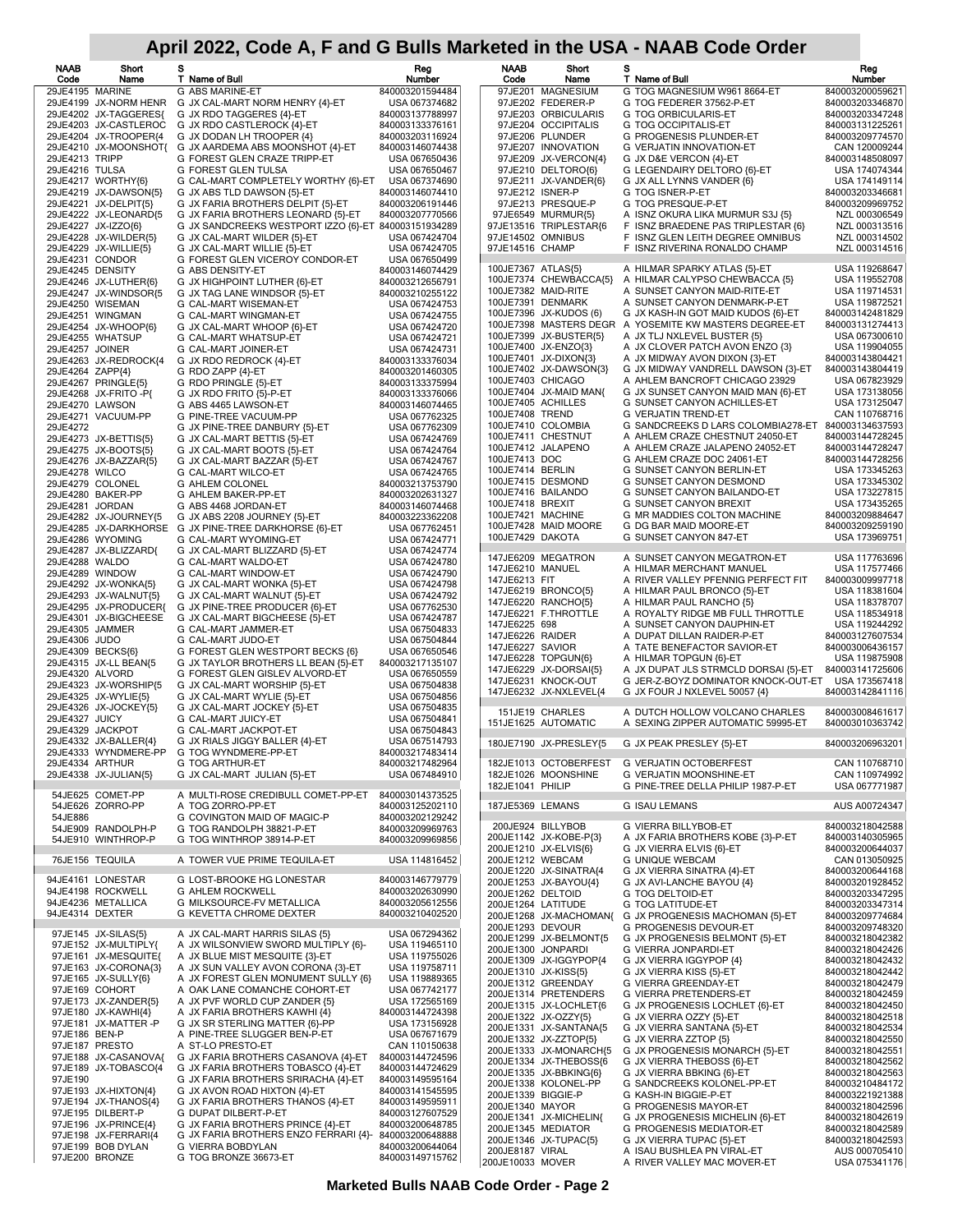| <b>NAAB</b><br>Code                | Short<br>Name                                  | s<br>T Name of Bull                                                  | Reg<br>Number                      | <b>NAAB</b><br>Code               | Short<br>Name                                    | s<br>T Name of Bull                                                   | Reg<br>Number                      |
|------------------------------------|------------------------------------------------|----------------------------------------------------------------------|------------------------------------|-----------------------------------|--------------------------------------------------|-----------------------------------------------------------------------|------------------------------------|
| 29JE4195 MARINE                    |                                                | G ABS MARINE-ET                                                      | 840003201594484                    |                                   | 97JE201 MAGNESIUM                                | G TOG MAGNESIUM W961 8664-ET                                          | 840003200059621                    |
|                                    | 29JE4199 JX-NORM HENR                          | G JX CAL-MART NORM HENRY {4}-ET                                      | USA 067374682                      |                                   | 97JE202 FEDERER-P                                | G TOG FEDERER 37562-P-ET                                              | 840003203346870                    |
|                                    | 29JE4202 JX-TAGGERES{<br>29JE4203 JX-CASTLEROC | G JX RDO TAGGERES {4}-ET<br>G JX RDO CASTLEROCK {4}-ET               | 840003137788997<br>840003133376161 |                                   | 97JE203 ORBICULARIS<br>97JE204 OCCIPITALIS       | G TOG ORBICULARIS-ET<br>G TOG OCCIPITALIS-ET                          | 840003203347248<br>840003131225261 |
|                                    | 29JE4204 JX-TROOPER{4                          | G JX DODAN LH TROOPER {4}                                            | 840003203116924                    |                                   | 97JE206 PLUNDER                                  | G PROGENESIS PLUNDER-ET                                               | 840003209774570                    |
|                                    | 29JE4210 JX-MOONSHOT{                          | G JX AARDEMA ABS MOONSHOT {4}-ET                                     | 840003146074438                    |                                   | 97JE207 INNOVATION                               | <b>G VERJATIN INNOVATION-ET</b>                                       | CAN 120009244                      |
| 29JE4213 TRIPP<br>29JE4216 TULSA   |                                                | G FOREST GLEN CRAZE TRIPP-ET<br>G FOREST GLEN TULSA                  | USA 067650436<br>USA 067650467     |                                   | 97JE209 JX-VERCON{4}<br>97JE210 DELTORO{6}       | G JX D&E VERCON {4}-ET<br>G LEGENDAIRY DELTORO {6}-ET                 | 840003148508097<br>USA 174074344   |
|                                    | 29JE4217 WORTHY{6}                             | G CAL-MART COMPLETELY WORTHY {6}-ET                                  | USA 067374690                      |                                   | 97JE211 JX-VANDER{6}                             | G JX ALL LYNNS VANDER {6}                                             | USA 174149114                      |
|                                    | 29JE4219 JX-DAWSON{5}<br>29JE4221 JX-DELPIT{5} | G JX ABS TLD DAWSON {5}-ET<br>G JX FARIA BROTHERS DELPIT {5}-ET      | 840003146074410<br>840003206191446 |                                   | 97JE212 ISNER-P<br>97JE213 PRESQUE-P             | G TOG ISNER-P-ET<br>G TOG PRESQUE-P-ET                                | 840003203346681<br>840003209969752 |
|                                    | 29JE4222 JX-LEONARD{5                          | G JX FARIA BROTHERS LEONARD {5}-ET                                   | 840003207770566                    |                                   | 97JE6549 MURMUR{5}                               | A ISNZ OKURA LIKA MURMUR S3J {5}                                      | NZL 000306549                      |
|                                    | 29JE4227 JX-IZZO{6}                            | G JX SANDCREEKS WESTPORT IZZO {6}-ET 840003151934289                 |                                    |                                   | 97JE13516 TRIPLESTAR{6                           | F ISNZ BRAEDENE PAS TRIPLESTAR {6}                                    | NZL 000313516                      |
|                                    | 29JE4228 JX-WILDER{5}<br>29JE4229 JX-WILLIE{5} | G JX CAL-MART WILDER {5}-ET<br>G JX CAL-MART WILLIE {5}-ET           | USA 067424704<br>USA 067424705     | 97JE14516 CHAMP                   | 97JE14502 OMNIBUS                                | F ISNZ GLEN LEITH DEGREE OMNIBUS<br>F ISNZ RIVERINA RONALDO CHAMP     | NZL 000314502<br>NZL 000314516     |
| 29JE4231 CONDOR                    |                                                | G FOREST GLEN VICEROY CONDOR-ET                                      | USA 067650499                      |                                   |                                                  |                                                                       |                                    |
| 29JE4245 DENSITY                   | 29JE4246 JX-LUTHER{6}                          | G ABS DENSITY-ET<br>G JX HIGHPOINT LUTHER {6}-ET                     | 840003146074429<br>840003212656791 |                                   | 100JE7367 ATLAS{5}<br>100JE7374 CHEWBACCA{5}     | A HILMAR SPARKY ATLAS {5}-ET<br>A HILMAR CALYPSO CHEWBACCA {5}        | USA 119268647<br>USA 119552708     |
|                                    | 29JE4247 JX-WINDSOR{5                          | G JX TAG LANE WINDSOR {5}-ET                                         | 840003210255122                    |                                   | 100JE7382 MAID-RITE                              | A SUNSET CANYON MAID-RITE-ET                                          | USA 119714531                      |
|                                    | 29JE4250 WISEMAN                               | G CAL-MART WISEMAN-ET                                                | USA 067424753                      |                                   | 100JE7391 DENMARK<br>100JE7396 JX-KUDOS (6)      | A SUNSET CANYON DENMARK-P-ET<br>G JX KASH-IN GOT MAID KUDOS {6}-ET    | USA 119872521<br>840003142481829   |
|                                    | 29JE4251 WINGMAN<br>29JE4254 JX-WHOOP{6}       | G CAL-MART WINGMAN-ET<br>G JX CAL-MART WHOOP {6}-ET                  | USA 067424755<br>USA 067424720     |                                   |                                                  | 100JE7398 MASTERS DEGR A YOSEMITE KW MASTERS DEGREE-ET                | 840003131274413                    |
|                                    | 29JE4255 WHATSUP                               | G CAL-MART WHATSUP-ET                                                | USA 067424721                      |                                   | 100JE7399 JX-BUSTER{5}                           | A JX TLJ NXLEVEL BUSTER {5}                                           | USA 067300610                      |
| 29JE4257 JOINER                    | 29JE4263 JX-REDROCK{4                          | G CAL-MART JOINER-ET<br>G JX RDO REDROCK {4}-ET                      | USA 067424731<br>840003133376034   |                                   | 100JE7400 JX-ENZO{3}<br>100JE7401 JX-DIXON{3}    | A JX CLOVER PATCH AVON ENZO {3}<br>A JX MIDWAY AVON DIXON {3}-ET      | USA 119904055<br>840003143804421   |
| 29JE4264 ZAPP{4}                   |                                                | G RDO ZAPP {4}-ET                                                    | 840003201460305                    |                                   | 100JE7402 JX-DAWSON{3}                           | G JX MIDWAY VANDRELL DAWSON {3}-ET                                    | 840003143804419                    |
|                                    | 29JE4267 PRINGLE{5}                            | G RDO PRINGLE {5}-ET                                                 | 840003133375994                    |                                   | 100JE7403 CHICAGO<br>100JE7404 JX-MAID MAN{      | A AHLEM BANCROFT CHICAGO 23929<br>G JX SUNSET CANYON MAID MAN {6}-ET  | USA 067823929<br>USA 173138056     |
| 29JE4270 LAWSON                    | 29JE4268 JX-FRITO-P{                           | G JX RDO FRITO {5}-P-ET<br>G ABS 4465 LAWSON-ET                      | 840003133376066<br>840003146074465 |                                   | 100JE7405 ACHILLES                               | G SUNSET CANYON ACHILLES-ET                                           | USA 173125047                      |
|                                    | 29JE4271 VACUUM-PP                             | G PINE-TREE VACUUM-PP                                                | USA 067762325                      | 100JE7408 TREND                   |                                                  | G VERJATIN TREND-ET                                                   | CAN 110768716                      |
| 29JE4272                           | 29JE4273 JX-BETTIS{5}                          | G JX PINE-TREE DANBURY {5}-ET<br>G JX CAL-MART BETTIS {5}-ET         | USA 067762309<br>USA 067424769     |                                   | 100JE7410 COLOMBIA<br>100JE7411 CHESTNUT         | G SANDCREEKS D LARS COLOMBIA278-ET<br>A AHLEM CRAZE CHESTNUT 24050-ET | 840003134637593<br>840003144728245 |
|                                    | 29JE4275 JX-BOOTS{5}                           | G JX CAL-MART BOOTS {5}-ET                                           | USA 067424764                      |                                   | 100JE7412 JALAPENO                               | A AHLEM CRAZE JALAPENO 24052-ET                                       | 840003144728247                    |
|                                    | 29JE4276 JX-BAZZAR{5}                          | G JX CAL-MART BAZZAR {5}-ET                                          | USA 067424767                      | 100JE7413 DOC                     |                                                  | G AHLEM CRAZE DOC 24061-ET                                            | 840003144728256                    |
| 29JE4278 WILCO<br>29JE4279 COLONEL |                                                | G CAL-MART WILCO-ET<br>G AHLEM COLONEL                               | USA 067424765<br>840003213753790   | 100JE7414 BERLIN                  | 100JE7415 DESMOND                                | G SUNSET CANYON BERLIN-ET<br><b>G SUNSET CANYON DESMOND</b>           | USA 173345263<br>USA 173345302     |
|                                    | 29JE4280 BAKER-PP                              | G AHLEM BAKER-PP-ET                                                  | 840003202631327                    |                                   | 100JE7416 BAILANDO                               | G SUNSET CANYON BAILANDO-ET                                           | USA 173227815                      |
| 29JE4281 JORDAN                    |                                                | G ABS 4468 JORDAN-ET                                                 | 840003146074468                    | 100JE7418 BREXIT                  | 100JE7421 MACHINE                                | <b>G SUNSET CANYON BREXIT</b><br>G MR MADDIES COLTON MACHINE          | USA 173435265<br>840003209884647   |
|                                    | 29JE4282 JX-JOURNEY{5<br>29JE4285 JX-DARKHORSE | G JX ABS 2208 JOURNEY {5}-ET<br>G JX PINE-TREE DARKHORSE {6}-ET      | 840003223362208<br>USA 067762451   |                                   | 100JE7428 MAID MOORE                             | G DG BAR MAID MOORE-ET                                                | 840003209259190                    |
|                                    | 29JE4286 WYOMING                               | G CAL-MART WYOMING-ET                                                | USA 067424771                      | 100JE7429 DAKOTA                  |                                                  | G SUNSET CANYON 847-ET                                                | USA 173969751                      |
| 29JE4288 WALDO                     | 29JE4287 JX-BLIZZARD{                          | G JX CAL-MART BLIZZARD {5}-ET<br>G CAL-MART WALDO-ET                 | USA 067424774<br>USA 067424780     |                                   | 147JE6209 MEGATRON                               | A SUNSET CANYON MEGATRON-ET                                           | USA 117763696                      |
| 29JE4289 WINDOW                    |                                                | G CAL-MART WINDOW-ET                                                 | USA 067424790                      | 147JE6210 MANUEL                  |                                                  | A HILMAR MERCHANT MANUEL                                              | USA 117577466                      |
|                                    | 29JE4292 JX-WONKA{5}                           | G JX CAL-MART WONKA {5}-ET                                           | USA 067424798                      | 147JE6213 FIT                     | 147JE6219 BRONCO{5}                              | A RIVER VALLEY PFENNIG PERFECT FIT<br>A HILMAR PAUL BRONCO {5}-ET     | 840003009997718<br>USA 118381604   |
|                                    | 29JE4293 JX-WALNUT{5}<br>29JE4295 JX-PRODUCER{ | G JX CAL-MART WALNUT {5}-ET<br>G JX PINE-TREE PRODUCER {6}-ET        | USA 067424792<br>USA 067762530     |                                   | 147JE6220 RANCHO{5}                              | A HILMAR PAUL RANCHO {5}                                              | USA 118378707                      |
|                                    | 29JE4301 JX-BIGCHEESE                          | G JX CAL-MART BIGCHEESE {5}-ET                                       | USA 067424787                      |                                   | 147JE6221 F.THROTTLE                             | A ROYALTY RIDGE MB FULL THROTTLE                                      | USA 118534918                      |
| 29JE4305 JAMMER                    |                                                | G CAL-MART JAMMER-ET                                                 | USA 067504833                      | 147JE6225 698<br>147JE6226 RAIDER |                                                  | A SUNSET CANYON DAUPHIN-ET<br>A DUPAT DILLAN RAIDER-P-ET              | USA 119244292<br>840003127607534   |
| 29JE4306 JUDO<br>29JE4309 BECKS{6} |                                                | G CAL-MART JUDO-ET<br>G FOREST GLEN WESTPORT BECKS {6}               | USA 067504844<br>USA 067650546     | 147JE6227 SAVIOR                  |                                                  | A TATE BENEFACTOR SAVIOR-ET                                           | 840003006436157                    |
|                                    | 29JE4315 JX-LL BEAN{5                          | G JX TAYLOR BROTHERS LL BEAN {5}-ET                                  | 840003217135107                    |                                   | 147JE6228 TOPGUN{6}<br>147JE6229 JX-DORSAI{5}    | A HILMAR TOPGUN {6}-ET<br>A JX DUPAT JLS STRMCLD DORSAI {5}-ET        | USA 119875908<br>840003141725606   |
| 29JE4320 ALVORD                    | 29JE4323 JX-WORSHIP{5                          | G FOREST GLEN GISLEV ALVORD-ET<br>G JX CAL-MART WORSHIP {5}-ET       | USA 067650559<br>USA 067504838     |                                   | 147JE6231 KNOCK-OUT                              | G JER-Z-BOYZ DOMINATOR KNOCK-OUT-ET                                   | USA 173567418                      |
|                                    | 29JE4325 JX-WYLIE{5}                           | G JX CAL-MART WYLIE {5}-ET                                           | USA 067504856                      |                                   | 147JE6232 JX-NXLEVEL{4                           | G JX FOUR J NXLEVEL 50057 {4}                                         | 840003142841116                    |
| 29JE4327 JUICY                     | 29JE4326 JX-JOCKEY{5}                          | G JX CAL-MART JOCKEY {5}-ET                                          | USA 067504835                      |                                   | 151JE19 CHARLES                                  | A DUTCH HOLLOW VOLCANO CHARLES                                        | 840003008461617                    |
| 29JE4329 JACKPOT                   |                                                | G CAL-MART JUICY-ET<br>G CAL-MART JACKPOT-ET                         | USA 067504841<br>USA 067504843     |                                   | 151JE1625 AUTOMATIC                              | A SEXING ZIPPER AUTOMATIC 59995-ET                                    | 840003010363742                    |
|                                    | 29JE4332 JX-BALLER{4}                          | G JX RIALS JIGGY BALLER {4}-ET                                       | USA 067514793                      |                                   | 180JE7190 JX-PRESLEY{5                           | G JX PEAK PRESLEY {5}-ET                                              | 840003206963201                    |
| 29JE4334 ARTHUR                    | 29JE4333 WYNDMERE-PP                           | G TOG WYNDMERE-PP-ET<br>G TOG ARTHUR-ET                              | 840003217483414<br>840003217482964 |                                   | 182JE1013 OCTOBERFEST                            | G VERJATIN OCTOBERFEST                                                | CAN 110768710                      |
|                                    | 29JE4338 JX-JULIAN{5}                          | G JX CAL-MART JULIAN {5}-ET                                          | USA 067484910                      |                                   | 182JE1026 MOONSHINE                              | G VERJATIN MOONSHINE-ET                                               | CAN 110974992                      |
|                                    | 54JE625 COMET-PP                               | A MULTI-ROSE CREDIBULL COMET-PP-ET                                   | 840003014373525                    | 182JE1041 PHILIP                  |                                                  | G PINE-TREE DELLA PHILIP 1987-P-ET                                    | USA 067771987                      |
|                                    | 54JE626 ZORRO-PP                               | A TOG ZORRO-PP-ET                                                    | 840003125202110                    | 187JE5369 LEMANS                  |                                                  | <b>G ISAU LEMANS</b>                                                  | AUS A00724347                      |
| 54JE886                            |                                                | G COVINGTON MAID OF MAGIC-P                                          | 840003202129242                    |                                   | 200JE924 BILLYBOB                                | G VIERRA BILLYBOB-ET                                                  | 840003218042588                    |
|                                    | 54JE909 RANDOLPH-P<br>54JE910 WINTHROP-P       | G TOG RANDOLPH 38821-P-ET<br>G TOG WINTHROP 38914-P-ET               | 840003209969763<br>840003209969856 |                                   | 200JE1142 JX-KOBE-P{3}                           | A JX FARIA BROTHERS KOBE {3}-P-ET                                     | 840003140305965                    |
|                                    |                                                |                                                                      |                                    |                                   | 200JE1210 JX-ELVIS{6}                            | G JX VIERRA ELVIS {6}-ET                                              | 840003200644037                    |
|                                    | 76JE156 TEQUILA                                | A TOWER VUE PRIME TEQUILA-ET                                         | USA 114816452                      |                                   | 200JE1212 WEBCAM<br>200JE1220 JX-SINATRA{4       | <b>G UNIQUE WEBCAM</b><br>G JX VIERRA SINATRA {4}-ET                  | CAN 013050925<br>840003200644168   |
|                                    | 94JE4161 LONESTAR                              | G LOST-BROOKE HG LONESTAR                                            | 840003146779779                    |                                   | 200JE1253 JX-BAYOU{4}                            | G JX AVI-LANCHE BAYOU {4}                                             | 840003201928452                    |
|                                    | 94JE4198 ROCKWELL<br>94JE4236 METALLICA        | <b>G AHLEM ROCKWELL</b><br>G MILKSOURCE-FV METALLICA                 | 840003202630990<br>840003205612556 |                                   | 200JE1262 DELTOID<br>200JE1264 LATITUDE          | G TOG DELTOID-ET<br>G TOG LATITUDE-ET                                 | 840003203347295<br>840003203347314 |
| 94JE4314 DEXTER                    |                                                | G KEVETTA CHROME DEXTER                                              | 840003210402520                    |                                   | 200JE1268 JX-MACHOMAN{                           | G JX PROGENESIS MACHOMAN {5}-ET                                       | 840003209774684                    |
|                                    | 97JE145 JX-SILAS{5}                            | A JX CAL-MART HARRIS SILAS {5}                                       | USA 067294362                      |                                   | 200JE1293 DEVOUR                                 | G PROGENESIS DEVOUR-ET                                                | 840003209748320                    |
|                                    | 97JE152 JX-MULTIPLY{                           | A JX WILSONVIEW SWORD MULTIPLY {6}-                                  | USA 119465110                      |                                   | 200JE1299 JX-BELMONT{5<br>200JE1300 JONPARDI     | G JX PROGENESIS BELMONT {5}-ET<br>G VIERRA JONPARDI-ET                | 840003218042382<br>840003218042426 |
|                                    | 97JE161 JX-MESQUITE{<br>97JE163 JX-CORONA{3}   | A JX BLUE MIST MESQUITE {3}-ET<br>A JX SUN VALLEY AVON CORONA {3}-ET | USA 119755026<br>USA 119758711     |                                   | 200JE1309 JX-IGGYPOP{4                           | G JX VIERRA IGGYPOP {4}                                               | 840003218042432                    |
|                                    | 97JE165 JX-SULLY{6}                            | A JX FOREST GLEN MONUMENT SULLY {6}                                  | USA 119889365                      |                                   | 200JE1310 JX-KISS{5}<br>200JE1312 GREENDAY       | G JX VIERRA KISS {5}-ET<br>G VIERRA GREENDAY-ET                       | 840003218042442<br>840003218042479 |
|                                    | 97JE169 COHORT                                 | A OAK LANE COMANCHE COHORT-ET                                        | USA 067742177                      |                                   | 200JE1314 PRETENDERS                             | G VIERRA PRETENDERS-ET                                                | 840003218042459                    |
|                                    | 97JE173 JX-ZANDER{5}<br>97JE180 JX-KAWHI{4}    | A JX PVF WORLD CUP ZANDER {5}<br>A JX FARIA BROTHERS KAWHI {4}       | USA 172565169<br>840003144724398   |                                   | 200JE1315 JX-LOCHLET{6                           | G JX PROGENESIS LOCHLET {6}-ET                                        | 840003218042450                    |
|                                    | 97JE181 JX-MATTER-P                            | G JX SR STERLING MATTER {6}-PP                                       | USA 173156928                      |                                   | 200JE1322 JX-OZZY{5}<br>200JE1331 JX-SANTANA{5   | G JX VIERRA OZZY {5}-ET<br>G JX VIERRA SANTANA {5}-ET                 | 840003218042518<br>840003218042534 |
| 97JE186 BEN-P                      | 97JE187 PRESTO                                 | A PINE-TREE SLUGGER BEN-P-ET<br>A ST-LO PRESTO-ET                    | USA 067671679<br>CAN 110150638     |                                   | 200JE1332 JX-ZZTOP{5}                            | G JX VIERRA ZZTOP {5}                                                 | 840003218042550                    |
|                                    | 97JE188 JX-CASANOVA{                           | G JX FARIA BROTHERS CASANOVA {4}-ET                                  | 840003144724596                    |                                   | 200JE1333 JX-MONARCH{5<br>200JE1334 JX-THEBOSS{6 | G JX PROGENESIS MONARCH {5}-ET<br>G JX VIERRA THEBOSS {6}-ET          | 840003218042551<br>840003218042562 |
|                                    | 97JE189 JX-TOBASCO{4                           | G JX FARIA BROTHERS TOBASCO {4}-ET                                   | 840003144724629                    |                                   | 200JE1335 JX-BBKING{6}                           | G JX VIERRA BBKING {6}-ET                                             | 840003218042563                    |
| 97JE190                            | 97JE193 JX-HIXTON{4}                           | G JX FARIA BROTHERS SRIRACHA {4}-ET<br>G JX AVON ROAD HIXTON {4}-ET  | 840003149595164<br>840003141545595 |                                   | 200JE1338 KOLONEL-PP                             | G SANDCREEKS KOLONEL-PP-ET                                            | 840003210484172                    |
|                                    | 97JE194 JX-THANOS{4}                           | G JX FARIA BROTHERS THANOS {4}-ET                                    | 840003149595911                    | 200JE1340 MAYOR                   | 200JE1339 BIGGIE-P                               | G KASH-IN BIGGIE-P-ET<br>G PROGENESIS MAYOR-ET                        | 840003221921388<br>840003218042596 |
|                                    | 97JE195 DILBERT-P<br>97JE196 JX-PRINCE{4}      | G DUPAT DILBERT-P-ET<br>G JX FARIA BROTHERS PRINCE {4}-ET            | 840003127607529<br>840003200648785 |                                   | 200JE1341 JX-MICHELIN{                           | G JX PROGENESIS MICHELIN {6}-ET                                       | 840003218042619                    |
|                                    | 97JE198 JX-FERRARI{4                           | G JX FARIA BROTHERS ENZO FERRARI {4}- 840003200648888                |                                    |                                   | 200JE1345 MEDIATOR<br>200JE1346 JX-TUPAC{5}      | G PROGENESIS MEDIATOR-ET<br>G JX VIERRA TUPAC {5}-ET                  | 840003218042589<br>840003218042593 |
|                                    | 97JE199 BOB DYLAN                              | G VIERRA BOBDYLAN                                                    | 840003200644064                    | 200JE8187 VIRAL                   |                                                  | A ISAU BUSHLEA PN VIRAL-ET                                            | AUS 000705410                      |
|                                    | 97JE200 BRONZE                                 | G TOG BRONZE 36673-ET                                                | 840003149715762                    | 200JE10033 MOVER                  |                                                  | A RIVER VALLEY MAC MOVER-ET                                           | USA 075341176                      |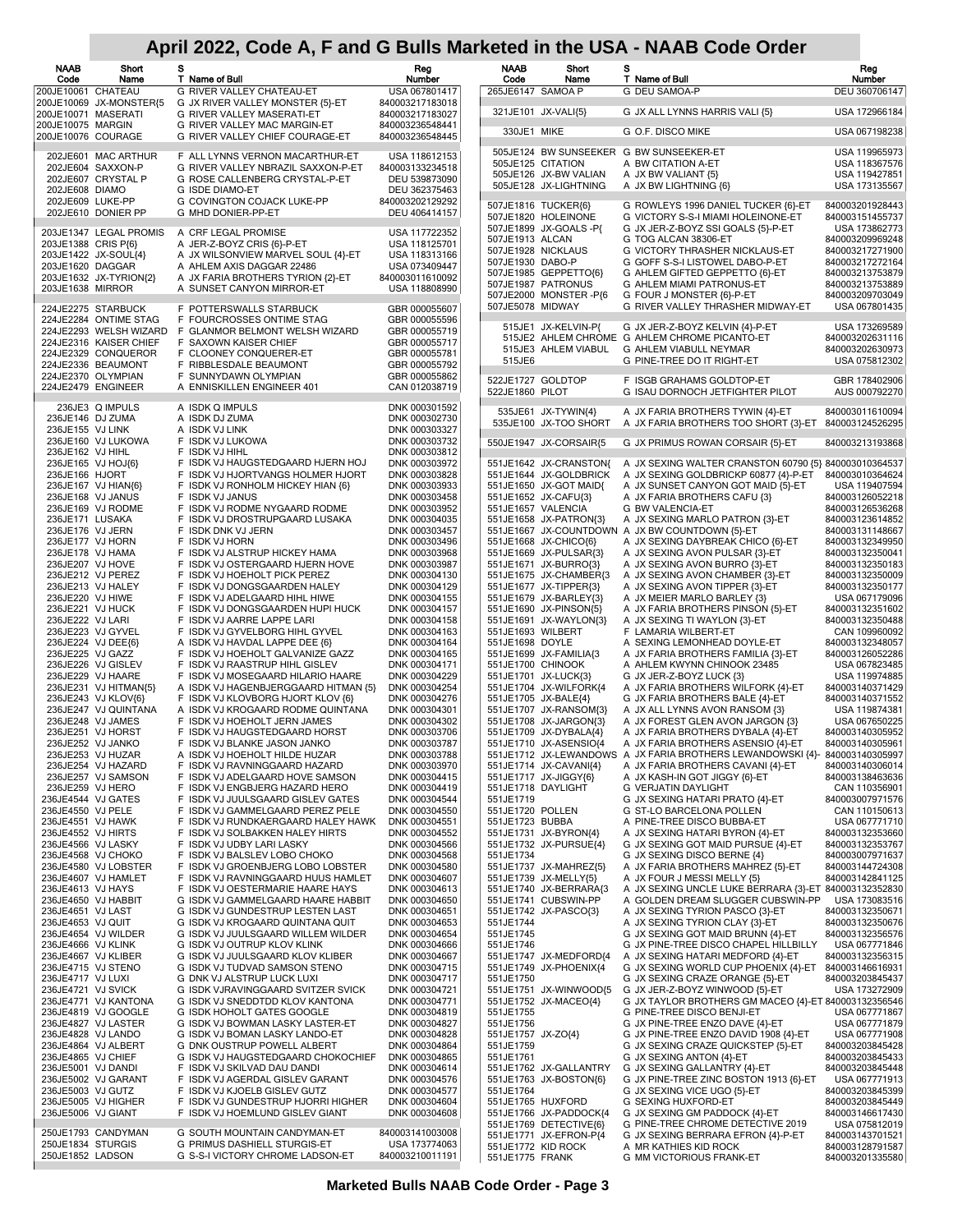| NAAB<br>Code                             | Short<br>Name                                    | s<br>T Name of Bull                                                       | Reg<br>Number                      | <b>NAAB</b><br>Code    | Short<br>Name                                    | s<br>T Name of Bull                                                         | Reg<br>Number                      |
|------------------------------------------|--------------------------------------------------|---------------------------------------------------------------------------|------------------------------------|------------------------|--------------------------------------------------|-----------------------------------------------------------------------------|------------------------------------|
| 200JE10061 CHATEAU                       |                                                  | G RIVER VALLEY CHATEAU-ET                                                 | USA 067801417                      |                        | 265JE6147 SAMOA P                                | G DEU SAMOA-P                                                               | DEU 360706147                      |
| 200JE10071 MASERATI                      | 200JE10069 JX-MONSTER{5                          | G JX RIVER VALLEY MONSTER {5}-ET<br>G RIVER VALLEY MASERATI-ET            | 840003217183018<br>840003217183027 |                        | 321JE101 JX-VALI{5}                              | G JX ALL LYNNS HARRIS VALI {5}                                              | USA 172966184                      |
| 200JE10075 MARGIN                        |                                                  | G RIVER VALLEY MAC MARGIN-ET                                              | 840003236548441                    |                        |                                                  | G O.F. DISCO MIKE                                                           | USA 067198238                      |
| 200JE10076 COURAGE                       |                                                  | G RIVER VALLEY CHIEF COURAGE-ET                                           | 840003236548445                    | 330JE1 MIKE            |                                                  |                                                                             |                                    |
|                                          | 202JE601 MAC ARTHUR                              | F ALL LYNNS VERNON MACARTHUR-ET                                           | USA 118612153                      |                        |                                                  | 505JE124 BW SUNSEEKER G BW SUNSEEKER-ET                                     | USA 119965973                      |
|                                          | 202JE604 SAXXON-P                                | G RIVER VALLEY NBRAZIL SAXXON-P-ET                                        | 840003133234518                    |                        | 505JE125 CITATION<br>505JE126 JX-BW VALIAN       | A BW CITATION A-ET<br>A JX BW VALIANT {5}                                   | USA 118367576<br>USA 119427851     |
| 202JE608 DIAMO                           | 202JE607 CRYSTAL P                               | G ROSE CALLENBERG CRYSTAL-P-ET<br>G ISDE DIAMO-ET                         | DEU 539873090<br>DEU 362375463     |                        | 505JE128 JX-LIGHTNING                            | A JX BW LIGHTNING {6}                                                       | USA 173135567                      |
|                                          | 202JE609 LUKE-PP                                 | G COVINGTON COJACK LUKE-PP                                                | 840003202129292                    |                        | 507JE1816 TUCKER{6}                              | G ROWLEYS 1996 DANIEL TUCKER {6}-ET                                         | 840003201928443                    |
|                                          | 202JE610 DONIER PP                               | G MHD DONIER-PP-ET                                                        | DEU 406414157                      |                        | 507JE1820 HOLEINONE                              | G VICTORY S-S-I MIAMI HOLEINONE-ET                                          | 840003151455737                    |
|                                          | 203JE1347 LEGAL PROMIS                           | A CRF LEGAL PROMISE                                                       | USA 117722352                      |                        | 507JE1899 JX-GOALS-P{                            | G JX JER-Z-BOYZ SSI GOALS {5}-P-ET                                          | USA 173862773                      |
| 203JE1388 CRIS P{6}                      |                                                  | A JER-Z-BOYZ CRIS {6}-P-ET                                                | USA 118125701                      | 507JE1913 ALCAN        | 507JE1928 NICKLAUS                               | G TOG ALCAN 38306-ET<br>G VICTORY THRASHER NICKLAUS-ET                      | 840003209969248<br>840003217271900 |
| 203JE1620 DAGGAR                         | 203JE1422 JX-SOUL{4}                             | A JX WILSONVIEW MARVEL SOUL {4}-ET<br>A AHLEM AXIS DAGGAR 22486           | USA 118313166<br>USA 073409447     | 507JE1930 DABO-P       |                                                  | G GOFF S-S-I LISTOWEL DABO-P-ET                                             | 840003217272164                    |
|                                          | 203JE1632 JX-TYRION{2}                           | A JX FARIA BROTHERS TYRION {2}-ET                                         | 840003011610092                    |                        | 507JE1985 GEPPETTO(6)                            | G AHLEM GIFTED GEPPETTO {6}-ET                                              | 840003213753879                    |
| 203JE1638 MIRROR                         |                                                  | A SUNSET CANYON MIRROR-ET                                                 | USA 118808990                      |                        | 507JE1987 PATRONUS<br>507JE2000 MONSTER-P{6      | G AHLEM MIAMI PATRONUS-ET<br>G FOUR J MONSTER {6}-P-ET                      | 840003213753889<br>840003209703049 |
|                                          | 224JE2275 STARBUCK                               | F POTTERSWALLS STARBUCK                                                   | GBR 000055607                      | 507JE5078 MIDWAY       |                                                  | G RIVER VALLEY THRASHER MIDWAY-ET                                           | USA 067801435                      |
|                                          | 224JE2284 ONTIME STAG                            | F FOURCROSSES ONTIME STAG                                                 | GBR 000055596                      |                        | 515JE1 JX-KELVIN-P{                              | G JX JER-Z-BOYZ KELVIN {4}-P-ET                                             | USA 173269589                      |
|                                          | 224JE2293 WELSH WIZARD<br>224JE2316 KAISER CHIEF | F GLANMOR BELMONT WELSH WIZARD<br>F SAXOWN KAISER CHIEF                   | GBR 000055719<br>GBR 000055717     |                        |                                                  | 515JE2 AHLEM CHROME G AHLEM CHROME PICANTO-ET                               | 840003202631116                    |
|                                          | 224JE2329 CONQUEROR                              | F CLOONEY CONQUERER-ET                                                    | GBR 000055781                      |                        | 515JE3 AHLEM VIABUL                              | G AHLEM VIABULL NEYMAR                                                      | 840003202630973                    |
|                                          | 224JE2336 BEAUMONT                               | F RIBBLESDALE BEAUMONT                                                    | GBR 000055792                      | 515JE6                 |                                                  | G PINE-TREE DO IT RIGHT-ET                                                  | USA 075812302                      |
|                                          | 224JE2370 OLYMPIAN<br>224JE2479 ENGINEER         | F SUNNYDAWN OLYMPIAN<br>A ENNISKILLEN ENGINEER 401                        | GBR 000055862<br>CAN 012038719     |                        | 522JE1727 GOLDTOP                                | F ISGB GRAHAMS GOLDTOP-ET                                                   | GBR 178402906                      |
|                                          |                                                  |                                                                           |                                    | 522JE1860 PILOT        |                                                  | G ISAU DORNOCH JETFIGHTER PILOT                                             | AUS 000792270                      |
|                                          | 236JE3 Q IMPULS<br>236JE146 DJ ZUMA              | A ISDK Q IMPULS<br>A ISDK DJ ZUMA                                         | DNK 000301592<br>DNK 000302730     |                        | 535JE61 JX-TYWIN{4}                              | A JX FARIA BROTHERS TYWIN {4}-ET                                            | 840003011610094                    |
| 236JE155 VJ LINK                         |                                                  | A ISDK VJ LINK                                                            | DNK 000303327                      |                        | 535JE100 JX-TOO SHORT                            | A JX FARIA BROTHERS TOO SHORT {3}-ET 840003124526295                        |                                    |
|                                          | 236JE160 VJ LUKOWA                               | F ISDK VJ LUKOWA                                                          | DNK 000303732                      |                        | 550JE1947 JX-CORSAIR{5                           | G JX PRIMUS ROWAN CORSAIR {5}-ET                                            | 840003213193868                    |
| 236JE162 VJ HIHL                         | 236JE165 VJ HOJ{6}                               | F ISDK VJ HIHL<br>F ISDK VJ HAUGSTEDGAARD HJERN HOJ                       | DNK 000303812<br>DNK 000303972     |                        | 551JE1642 JX-CRANSTON{                           | A JX SEXING WALTER CRANSTON 60790 {5} 840003010364537                       |                                    |
| 236JE166 HJORT                           |                                                  | F ISDK VJ HJORTVANGS HOLMER HJORT                                         | DNK 000303828                      |                        | 551JE1644 JX-GOLDBRICK                           | A JX SEXING GOLDBRICKP 60877 {4}-P-ET                                       | 840003010364624                    |
|                                          | 236JE167 VJ HIAN{6}                              | F ISDK VJ RONHOLM HICKEY HIAN {6}                                         | DNK 000303933                      |                        | 551JE1650 JX-GOT MAID{                           | A JX SUNSET CANYON GOT MAID {5}-ET                                          | USA 119407594                      |
|                                          | 236JE168 VJ JANUS<br>236JE169 VJ RODME           | F ISDK VJ JANUS<br>F ISDK VJ RODME NYGAARD RODME                          | DNK 000303458<br>DNK 000303952     |                        | 551JE1652 JX-CAFU{3}<br>551JE1657 VALENCIA       | A JX FARIA BROTHERS CAFU {3}<br>G BW VALENCIA-ET                            | 840003126052218<br>840003126536268 |
| 236JE171 LUSAKA                          |                                                  | F ISDK VJ DROSTRUPGAARD LUSAKA                                            | DNK 000304035                      |                        | 551JE1658 JX-PATRON{3}                           | A JX SEXING MARLO PATRON {3}-ET                                             | 840003123614852                    |
| 236JE176 VJ JERN                         |                                                  | F ISDK DNK VJ JERN                                                        | DNK 000303457                      |                        |                                                  | 551JE1667 JX-COUNTDOWN A JX BW COUNTDOWN {5}-ET                             | 840003131148667                    |
| 236JE177 VJ HORN                         |                                                  | F ISDK VJ HORN                                                            | DNK 000303496                      |                        | 551JE1668 JX-CHICO{6}                            | A JX SEXING DAYBREAK CHICO {6}-ET                                           | 840003132349950                    |
|                                          | 236JE178 VJ HAMA<br>236JE207 VJ HOVE             | F ISDK VJ ALSTRUP HICKEY HAMA<br>F ISDK VJ OSTERGAARD HJERN HOVE          | DNK 000303968<br>DNK 000303987     |                        | 551JE1669 JX-PULSAR{3}<br>551JE1671 JX-BURRO(3)  | A JX SEXING AVON PULSAR {3}-ET<br>A JX SEXING AVON BURRO {3}-ET             | 840003132350041<br>840003132350183 |
|                                          | 236JE212 VJ PEREZ                                | F ISDK VJ HOEHOLT PICK PEREZ                                              | DNK 000304130                      |                        | 551JE1675 JX-CHAMBER{3                           | A JX SEXING AVON CHAMBER {3}-ET                                             | 840003132350009                    |
|                                          | 236JE213 VJ HALEY                                | F ISDK VJ DONGSGAARDEN HALEY                                              | DNK 000304129                      |                        | 551JE1677 JX-TIPPER{3}                           | A JX SEXING AVON TIPPER {3}-ET                                              | 840003132350177                    |
| 236JE220 VJ HIWE                         | 236JE221 VJ HUCK                                 | F ISDK VJ ADELGAARD HIHL HIWE<br>F ISDK VJ DONGSGAARDEN HUPI HUCK         | DNK 000304155<br>DNK 000304157     |                        | 551JE1679 JX-BARLEY{3}<br>551JE1690 JX-PINSON{5} | A JX MEIER MARLO BARLEY {3}<br>A JX FARIA BROTHERS PINSON {5}-ET            | USA 067179096<br>840003132351602   |
| 236JE222 VJ LARI                         |                                                  | F ISDK VJ AARRE LAPPE LARI                                                | DNK 000304158                      |                        | 551JE1691 JX-WAYLON{3}                           | A JX SEXING TI WAYLON {3}-ET                                                | 840003132350488                    |
|                                          | 236JE223 VJ GYVEL                                | F ISDK VJ GYVELBORG HIHL GYVEL                                            | DNK 000304163                      |                        | 551JE1693 WILBERT                                | F LAMARIA WILBERT-ET                                                        | CAN 109960092                      |
| 236JE225 VJ GAZZ                         | 236JE224 VJ DEE{6}                               | A ISDK VJ HAVDAL LAPPE DEE {6}<br>F ISDK VJ HOEHOLT GALVANIZE GAZZ        | DNK 000304164<br>DNK 000304165     | 551JE1698 DOYLE        | 551JE1699 JX-FAMILIA{3                           | A SEXING LEMONHEAD DOYLE-ET<br>A JX FARIA BROTHERS FAMILIA {3}-ET           | 840003132348057<br>840003126052286 |
|                                          | 236JE226 VJ GISLEV                               | F ISDK VJ RAASTRUP HIHL GISLEV                                            | DNK 000304171                      |                        | 551JE1700 CHINOOK                                | A AHLEM KWYNN CHINOOK 23485                                                 | USA 067823485                      |
|                                          | 236JE229 VJ HAARE                                | F ISDK VJ MOSEGAARD HILARIO HAARE                                         | DNK 000304229                      |                        | 551JE1701 JX-LUCK{3}                             | G JX JER-Z-BOYZ LUCK {3}                                                    | USA 119974885                      |
|                                          | 236JE231 VJ HITMAN{5}<br>236JE243 VJ KLOV{6}     | A ISDK VJ HAGENBJERGGAARD HITMAN {5}<br>F ISDK VJ KLOVBORG HJORT KLOV {6} | DNK 000304254<br>DNK 000304276     |                        | 551JE1704 JX-WILFORK{4<br>551JE1705 JX-BALE{4}   | A JX FARIA BROTHERS WILFORK {4}-ET<br>G JX FARIA BROTHERS BALE {4}-ET       | 840003140371429<br>840003140371552 |
|                                          | 236JE247 VJ QUINTANA                             | A ISDK VJ KROGAARD RODME QUINTANA                                         | DNK 000304301                      |                        | 551JE1707 JX-RANSOM{3}                           | A JX ALL LYNNS AVON RANSOM {3}                                              | USA 119874381                      |
|                                          | 236JE248 VJ JAMES                                | F ISDK VJ HOEHOLT JERN JAMES                                              | DNK 000304302                      |                        | 551JE1708 JX-JARGON{3}                           | A JX FOREST GLEN AVON JARGON {3}                                            | USA 067650225                      |
|                                          | 236JE251 VJ HORST<br>236JE252 VJ JANKO           | F ISDK VJ HAUGSTEDGAARD HORST<br>F ISDK VJ BLANKE JASON JANKO             | DNK 000303706<br>DNK 000303787     |                        | 551JE1709 JX-DYBALA{4}<br>551JE1710 JX-ASENSIO{4 | A JX FARIA BROTHERS DYBALA {4}-ET<br>A JX FARIA BROTHERS ASENSIO {4}-ET     | 840003140305952<br>840003140305961 |
|                                          | 236JE253 VJ HUZAR                                | A ISDK VJ HOEHOLT HILDE HUZAR                                             | DNK 000303788                      |                        |                                                  | 551JE1712 JX-LEWANDOWS A JX FARIA BROTHERS LEWANDOWSKI {4}- 840003140305997 |                                    |
|                                          | 236JE254 VJ HAZARD                               | F ISDK VJ RAVNINGGAARD HAZARD                                             | DNK 000303970                      |                        | 551JE1714 JX-CAVANI{4}                           | A JX FARIA BROTHERS CAVANI {4}-ET                                           | 840003140306014                    |
|                                          | 236JE257 VJ SAMSON<br>236JE259 VJ HERO           | F ISDK VJ ADELGAARD HOVE SAMSON<br>F ISDK VJ ENGBJERG HAZARD HERO         | DNK 000304415<br>DNK 000304419     |                        | 551JE1717 JX-JIGGY{6}<br>551JE1718 DAYLIGHT      | A JX KASH-IN GOT JIGGY {6}-ET<br>G VERJATIN DAYLIGHT                        | 840003138463636<br>CAN 110356901   |
|                                          | 236JE4544 VJ GATES                               | F ISDK VJ JUULSGAARD GISLEV GATES                                         | DNK 000304544                      | 551JE1719              |                                                  | G JX SEXING HATARI PRATO {4}-ET                                             | 840003007971576                    |
| 236JE4550 VJ PELE                        |                                                  | F ISDK VJ GAMMELGAARD PEREZ PELE                                          | DNK 000304550                      | 551JE1720 POLLEN       |                                                  | G ST-LO BARCELONA POLLEN                                                    | CAN 110150613                      |
| 236JE4551 VJ HAWK                        |                                                  | F ISDK VJ RUNDKAERGAARD HALEY HAWK                                        | DNK 000304551                      | 551JE1723 BUBBA        |                                                  | A PINE-TREE DISCO BUBBA-ET                                                  | USA 067771710<br>840003132353660   |
| 236JE4552 VJ HIRTS<br>236JE4566 VJ LASKY |                                                  | F ISDK VJ SOLBAKKEN HALEY HIRTS<br>F ISDK VJ UDBY LARI LASKY              | DNK 000304552<br>DNK 000304566     |                        | 551JE1731 JX-BYRON{4}<br>551JE1732 JX-PURSUE{4}  | A JX SEXING HATARI BYRON {4}-ET<br>G JX SEXING GOT MAID PURSUE {4}-ET       | 840003132353767                    |
|                                          | 236JE4568 VJ CHOKO                               | F ISDK VJ BALSLEV LOBO CHOKO                                              | DNK 000304568                      | 551JE1734              |                                                  | G JX SEXING DISCO BERNE {4}                                                 | 840003007971637                    |
|                                          | 236JE4580 VJ LOBSTER                             | F ISDK VJ GROENBJERG LOBO LOBSTER                                         | DNK 000304580                      |                        | 551JE1737 JX-MAHREZ{5}                           | A JX FARIA BROTHERS MAHREZ {5}-ET                                           | 840003144724308                    |
| 236JE4613 VJ HAYS                        | 236JE4607 VJ HAMLET                              | F ISDK VJ RAVNINGGAARD HUUS HAMLET<br>F ISDK VJ OESTERMARIE HAARE HAYS    | DNK 000304607<br>DNK 000304613     |                        | 551JE1739 JX-MELLY{5}<br>551JE1740 JX-BERRARA{3  | A JX FOUR J MESSI MELLY {5}<br>A JX SEXING UNCLE LUKE BERRARA {3}-ET        | 840003142841125<br>840003132352830 |
|                                          | 236JE4650 VJ HABBIT                              | G ISDK VJ GAMMELGAARD HAARE HABBIT                                        | DNK 000304650                      |                        | 551JE1741 CUBSWIN-PP                             | A GOLDEN DREAM SLUGGER CUBSWIN-PP                                           | USA 173083516                      |
| 236JE4651 VJ LAST                        |                                                  | G ISDK VJ GUNDESTRUP LESTEN LAST                                          | DNK 000304651                      |                        | 551JE1742 JX-PASCO{3}                            | A JX SEXING TYRION PASCO {3}-ET                                             | 840003132350671                    |
| 236JE4653 VJ QUIT                        | 236JE4654 VJ WILDER                              | G ISDK VJ KROGAARD QUINTANA QUIT<br>G ISDK VJ JUULSGAARD WILLEM WILDER    | DNK 000304653<br>DNK 000304654     | 551JE1744<br>551JE1745 |                                                  | A JX SEXING TYRION CLAY {3}-ET<br>G JX SEXING GOT MAID BRUNN {4}-ET         | 840003132350676<br>840003132356576 |
| 236JE4666 VJ KLINK                       |                                                  | G ISDK VJ OUTRUP KLOV KLINK                                               | DNK 000304666                      | 551JE1746              |                                                  | G JX PINE-TREE DISCO CHAPEL HILLBILLY                                       | USA 067771846                      |
|                                          | 236JE4667 VJ KLIBER                              | G ISDK VJ JUULSGAARD KLOV KLIBER                                          | DNK 000304667                      |                        | 551JE1747 JX-MEDFORD{4                           | A JX SEXING HATARI MEDFORD {4}-ET                                           | 840003132356315                    |
| 236JE4717 VJ LUXI                        | 236JE4715 VJ STENO                               | G ISDK VJ TUDVAD SAMSON STENO<br>G DNK VJ ALSTRUP LUCK LUXI               | DNK 000304715<br>DNK 000304717     | 551JE1750              | 551JE1749 JX-PHOENIX{4                           | G JX SEXING WORLD CUP PHOENIX {4}-ET<br>G JX SEXING CRAZE ORANGE {5}-ET     | 840003146616931<br>840003203845437 |
| 236JE4721 VJ SVICK                       |                                                  | G ISDK VJRAVINGGAARD SVITZER SVICK                                        | DNK 000304721                      |                        | 551JE1751 JX-WINWOOD{5                           | G JX JER-Z-BOYZ WINWOOD {5}-ET                                              | USA 173272909                      |
|                                          | 236JE4771 VJ KANTONA                             | G ISDK VJ SNEDDTDD KLOV KANTONA                                           | DNK 000304771                      |                        | 551JE1752 JX-MACEO{4}                            | G JX TAYLOR BROTHERS GM MACEO {4}-ET 840003132356546                        |                                    |
|                                          | 236JE4819 VJ GOOGLE<br>236JE4827 VJ LASTER       | G ISDK HOHOLT GATES GOOGLE<br>G ISDK VJ BOWMAN LASKY LASTER-ET            | DNK 000304819<br>DNK 000304827     | 551JE1755<br>551JE1756 |                                                  | G PINE-TREE DISCO BENJI-ET<br>G JX PINE-TREE ENZO DAVE {4}-ET               | USA 067771867                      |
|                                          | 236JE4828 VJ LANDO                               | G ISDK VJ BOMAN LASKY LANDO-ET                                            | DNK 000304828                      | 551JE1757 JX-ZO{4}     |                                                  | G JX PINE-TREE ENZO DAVID 1908 {4}-ET                                       | USA 067771879<br>USA 067771908     |
|                                          | 236JE4864 VJ ALBERT                              | G DNK OUSTRUP POWELL ALBERT                                               | DNK 000304864                      | 551JE1759              |                                                  | G JX SEXING CRAZE QUICKSTEP {5}-ET                                          | 840003203845428                    |
| 236JE4865 VJ CHIEF                       |                                                  | G ISDK VJ HAUGSTEDGAARD CHOKOCHIEF                                        | DNK 000304865                      | 551JE1761              |                                                  | G JX SEXING ANTON {4}-ET                                                    | 840003203845433                    |
| 236JE5001 VJ DANDI                       | 236JE5002 VJ GARANT                              | F ISDK VJ SKILVAD DAU DANDI<br>F ISDK VJ AGERDAL GISLEV GARANT            | DNK 000304614<br>DNK 000304576     |                        | 551JE1762 JX-GALLANTRY<br>551JE1763 JX-BOSTON{6} | G JX SEXING GALLANTRY {4}-ET<br>G JX PINE-TREE ZINC BOSTON 1913 {6}-ET      | 840003203845448<br>USA 067771913   |
| 236JE5003 VJ GUTZ                        |                                                  | F ISDK VJ KJOELB GISLEV GUTZ                                              | DNK 000304577                      | 551JE1764              |                                                  | G JX SEXING VICE UGO {5}-ET                                                 | 840003203845399                    |
|                                          | 236JE5005 VJ HIGHER                              | F ISDK VJ GUNDESTRUP HJORRI HIGHER                                        | DNK 000304604                      |                        | 551JE1765 HUXFORD                                | G SEXING HUXFORD-ET                                                         | 840003203845449                    |
| 236JE5006 VJ GIANT                       |                                                  | F ISDK VJ HOEMLUND GISLEV GIANT                                           | DNK 000304608                      |                        | 551JE1766 JX-PADDOCK{4<br>551JE1769 DETECTIVE{6} | G JX SEXING GM PADDOCK {4}-ET<br>G PINE-TREE CHROME DETECTIVE 2019          | 840003146617430<br>USA 075812019   |
|                                          | 250JE1793 CANDYMAN                               | G SOUTH MOUNTAIN CANDYMAN-ET                                              | 840003141003008                    |                        | 551JE1771 JX-EFRON-P{4                           | G JX SEXING BERRARA EFRON {4}-P-ET                                          | 840003143701521                    |
| 250JE1834 STURGIS<br>250JE1852 LADSON    |                                                  | G PRIMUS DASHIELL STURGIS-ET<br>G S-S-I VICTORY CHROME LADSON-ET          | USA 173774063<br>840003210011191   |                        | 551JE1772 KID ROCK                               | A MR KATHIES KID ROCK                                                       | 840003128791587                    |
|                                          |                                                  |                                                                           |                                    | 551JE1775 FRANK        |                                                  | G MM VICTORIOUS FRANK-ET                                                    | 840003201335580                    |